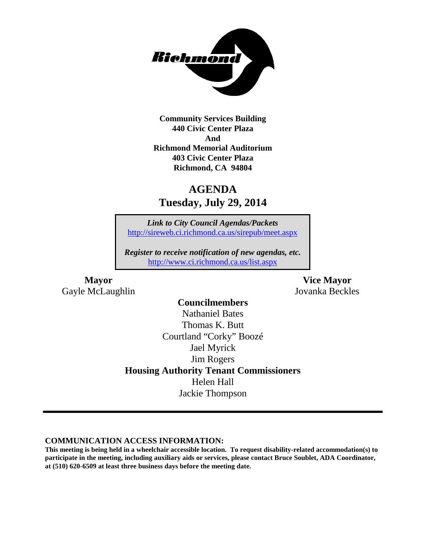

**Community Services Building 440 Civic Center Plaza And Richmond Memorial Auditorium 403 Civic Center Plaza Richmond, CA 94804**

## **AGENDA Tuesday, July 29, 2014**

*Link to City Council Agendas/Packets* <http://sireweb.ci.richmond.ca.us/sirepub/meet.aspx>

*Register to receive notification of new agendas, etc.* <http://www.ci.richmond.ca.us/list.aspx>

**Mayor Vice Mayor** Gayle McLaughlin Jovanka Beckles

#### **Councilmembers**

Nathaniel Bates Thomas K. Butt Courtland "Corky" Boozé Jael Myrick Jim Rogers **Housing Authority Tenant Commissioners** Helen Hall Jackie Thompson

#### **COMMUNICATION ACCESS INFORMATION:**

**This meeting is being held in a wheelchair accessible location. To request disability-related accommodation(s) to participate in the meeting, including auxiliary aids or services, please contact Bruce Soublet, ADA Coordinator, at (510) 620-6509 at least three business days before the meeting date.**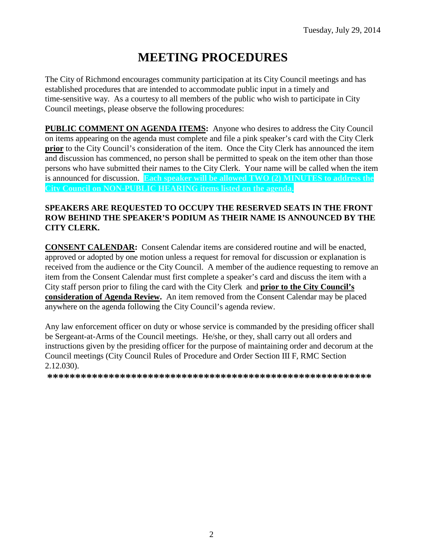# **MEETING PROCEDURES**

The City of Richmond encourages community participation at its City Council meetings and has established procedures that are intended to accommodate public input in a timely and time-sensitive way. As a courtesy to all members of the public who wish to participate in City Council meetings, please observe the following procedures:

**PUBLIC COMMENT ON AGENDA ITEMS:** Anyone who desires to address the City Council on items appearing on the agenda must complete and file a pink speaker's card with the City Clerk **prior** to the City Council's consideration of the item. Once the City Clerk has announced the item and discussion has commenced, no person shall be permitted to speak on the item other than those persons who have submitted their names to the City Clerk. Your name will be called when the item is announced for discussion. **Each speaker will be allowed TWO (2) MINUTES to address the City Council on NON-PUBLIC HEARING items listed on the agenda.**

#### **SPEAKERS ARE REQUESTED TO OCCUPY THE RESERVED SEATS IN THE FRONT ROW BEHIND THE SPEAKER'S PODIUM AS THEIR NAME IS ANNOUNCED BY THE CITY CLERK.**

**CONSENT CALENDAR:** Consent Calendar items are considered routine and will be enacted, approved or adopted by one motion unless a request for removal for discussion or explanation is received from the audience or the City Council. A member of the audience requesting to remove an item from the Consent Calendar must first complete a speaker's card and discuss the item with a City staff person prior to filing the card with the City Clerk and **prior to the City Council's consideration of Agenda Review.** An item removed from the Consent Calendar may be placed anywhere on the agenda following the City Council's agenda review.

Any law enforcement officer on duty or whose service is commanded by the presiding officer shall be Sergeant-at-Arms of the Council meetings. He/she, or they, shall carry out all orders and instructions given by the presiding officer for the purpose of maintaining order and decorum at the Council meetings (City Council Rules of Procedure and Order Section III F, RMC Section 2.12.030).

**\*\*\*\*\*\*\*\*\*\*\*\*\*\*\*\*\*\*\*\*\*\*\*\*\*\*\*\*\*\*\*\*\*\*\*\*\*\*\*\*\*\*\*\*\*\*\*\*\*\*\*\*\*\*\*\*\*\***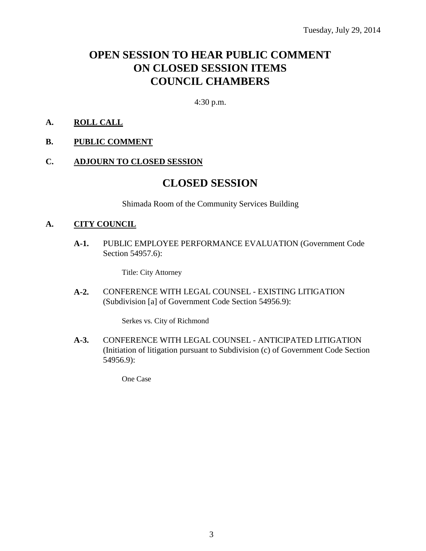## **OPEN SESSION TO HEAR PUBLIC COMMENT ON CLOSED SESSION ITEMS COUNCIL CHAMBERS**

4:30 p.m.

#### **A. ROLL CALL**

#### **B. PUBLIC COMMENT**

#### **C. ADJOURN TO CLOSED SESSION**

### **CLOSED SESSION**

Shimada Room of the Community Services Building

#### **A. CITY COUNCIL**

**A-1.** PUBLIC EMPLOYEE PERFORMANCE EVALUATION (Government Code Section 54957.6):

Title: City Attorney

**A-2.** CONFERENCE WITH LEGAL COUNSEL - EXISTING LITIGATION (Subdivision [a] of Government Code Section 54956.9):

Serkes vs. City of Richmond

**A-3.** CONFERENCE WITH LEGAL COUNSEL - ANTICIPATED LITIGATION (Initiation of litigation pursuant to Subdivision (c) of Government Code Section 54956.9):

One Case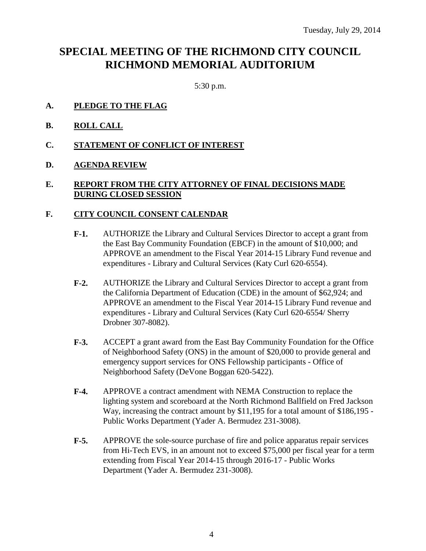## **SPECIAL MEETING OF THE RICHMOND CITY COUNCIL RICHMOND MEMORIAL AUDITORIUM**

5:30 p.m.

- **A. PLEDGE TO THE FLAG**
- **B. ROLL CALL**
- **C. STATEMENT OF CONFLICT OF INTEREST**
- **D. AGENDA REVIEW**

#### **E. REPORT FROM THE CITY ATTORNEY OF FINAL DECISIONS MADE DURING CLOSED SESSION**

#### **F. CITY COUNCIL CONSENT CALENDAR**

- **F-1.** AUTHORIZE the Library and Cultural Services Director to accept a grant from the East Bay Community Foundation (EBCF) in the amount of \$10,000; and APPROVE an amendment to the Fiscal Year 2014-15 Library Fund revenue and expenditures - Library and Cultural Services (Katy Curl 620-6554).
- **F-2.** AUTHORIZE the Library and Cultural Services Director to accept a grant from the California Department of Education (CDE) in the amount of \$62,924; and APPROVE an amendment to the Fiscal Year 2014-15 Library Fund revenue and expenditures - Library and Cultural Services (Katy Curl 620-6554/ Sherry Drobner 307-8082).
- **F-3.** ACCEPT a grant award from the East Bay Community Foundation for the Office of Neighborhood Safety (ONS) in the amount of \$20,000 to provide general and emergency support services for ONS Fellowship participants - Office of Neighborhood Safety (DeVone Boggan 620-5422).
- **F-4.** APPROVE a contract amendment with NEMA Construction to replace the lighting system and scoreboard at the North Richmond Ballfield on Fred Jackson Way, increasing the contract amount by \$11,195 for a total amount of \$186,195 - Public Works Department (Yader A. Bermudez 231-3008).
- **F-5.** APPROVE the sole-source purchase of fire and police apparatus repair services from Hi-Tech EVS, in an amount not to exceed \$75,000 per fiscal year for a term extending from Fiscal Year 2014-15 through 2016-17 - Public Works Department (Yader A. Bermudez 231-3008).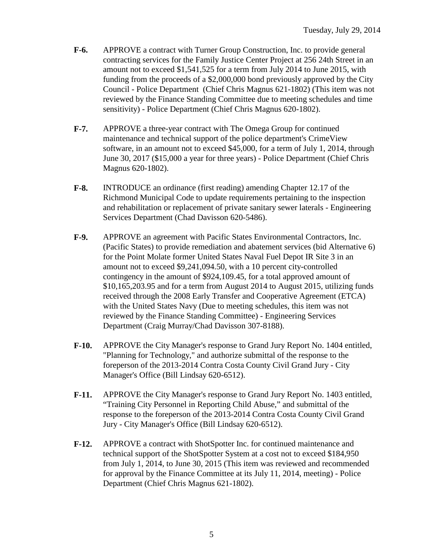- **F-6.** APPROVE a contract with Turner Group Construction, Inc. to provide general contracting services for the Family Justice Center Project at 256 24th Street in an amount not to exceed \$1,541,525 for a term from July 2014 to June 2015, with funding from the proceeds of a \$2,000,000 bond previously approved by the City Council - Police Department (Chief Chris Magnus 621-1802) (This item was not reviewed by the Finance Standing Committee due to meeting schedules and time sensitivity) - Police Department (Chief Chris Magnus 620-1802).
- **F-7.** APPROVE a three-year contract with The Omega Group for continued maintenance and technical support of the police department's CrimeView software, in an amount not to exceed \$45,000, for a term of July 1, 2014, through June 30, 2017 (\$15,000 a year for three years) - Police Department (Chief Chris Magnus 620-1802).
- **F-8.** INTRODUCE an ordinance (first reading) amending Chapter 12.17 of the Richmond Municipal Code to update requirements pertaining to the inspection and rehabilitation or replacement of private sanitary sewer laterals - Engineering Services Department (Chad Davisson 620-5486).
- **F-9.** APPROVE an agreement with Pacific States Environmental Contractors, Inc. (Pacific States) to provide remediation and abatement services (bid Alternative 6) for the Point Molate former United States Naval Fuel Depot IR Site 3 in an amount not to exceed \$9,241,094.50, with a 10 percent city-controlled contingency in the amount of \$924,109.45, for a total approved amount of \$10,165,203.95 and for a term from August 2014 to August 2015, utilizing funds received through the 2008 Early Transfer and Cooperative Agreement (ETCA) with the United States Navy (Due to meeting schedules, this item was not reviewed by the Finance Standing Committee) - Engineering Services Department (Craig Murray/Chad Davisson 307-8188).
- **F-10.** APPROVE the City Manager's response to Grand Jury Report No. 1404 entitled, "Planning for Technology," and authorize submittal of the response to the foreperson of the 2013-2014 Contra Costa County Civil Grand Jury - City Manager's Office (Bill Lindsay 620-6512).
- **F-11.** APPROVE the City Manager's response to Grand Jury Report No. 1403 entitled, "Training City Personnel in Reporting Child Abuse," and submittal of the response to the foreperson of the 2013-2014 Contra Costa County Civil Grand Jury - City Manager's Office (Bill Lindsay 620-6512).
- **F-12.** APPROVE a contract with ShotSpotter Inc. for continued maintenance and technical support of the ShotSpotter System at a cost not to exceed \$184,950 from July 1, 2014, to June 30, 2015 (This item was reviewed and recommended for approval by the Finance Committee at its July 11, 2014, meeting) - Police Department (Chief Chris Magnus 621-1802).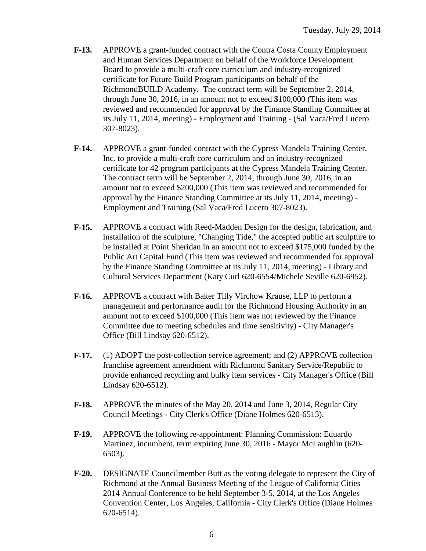- **F-13.** APPROVE a grant-funded contract with the Contra Costa County Employment and Human Services Department on behalf of the Workforce Development Board to provide a multi-craft core curriculum and industry-recognized certificate for Future Build Program participants on behalf of the RichmondBUILD Academy. The contract term will be September 2, 2014, through June 30, 2016, in an amount not to exceed \$100,000 (This item was reviewed and recommended for approval by the Finance Standing Committee at its July 11, 2014, meeting) - Employment and Training - (Sal Vaca/Fred Lucero 307-8023).
- **F-14.** APPROVE a grant-funded contract with the Cypress Mandela Training Center, Inc. to provide a multi-craft core curriculum and an industry-recognized certificate for 42 program participants at the Cypress Mandela Training Center. The contract term will be September 2, 2014, through June 30, 2016, in an amount not to exceed \$200,000 (This item was reviewed and recommended for approval by the Finance Standing Committee at its July 11, 2014, meeting) - Employment and Training (Sal Vaca/Fred Lucero 307-8023).
- **F-15.** APPROVE a contract with Reed-Madden Design for the design, fabrication, and installation of the sculpture, "Changing Tide," the accepted public art sculpture to be installed at Point Sheridan in an amount not to exceed \$175,000 funded by the Public Art Capital Fund (This item was reviewed and recommended for approval by the Finance Standing Committee at its July 11, 2014, meeting) - Library and Cultural Services Department (Katy Curl 620-6554/Michele Seville 620-6952).
- **F-16.** APPROVE a contract with Baker Tilly Virchow Krause, LLP to perform a management and performance audit for the Richmond Housing Authority in an amount not to exceed \$100,000 (This item was not reviewed by the Finance Committee due to meeting schedules and time sensitivity) - City Manager's Office (Bill Lindsay 620-6512).
- **F-17.** (1) ADOPT the post-collection service agreement; and (2) APPROVE collection franchise agreement amendment with Richmond Sanitary Service/Republic to provide enhanced recycling and bulky item services - City Manager's Office (Bill Lindsay 620-6512).
- **F-18.** APPROVE the minutes of the May 20, 2014 and June 3, 2014, Regular City Council Meetings - City Clerk's Office (Diane Holmes 620-6513).
- **F-19.** APPROVE the following re-appointment: Planning Commission: Eduardo Martinez, incumbent, term expiring June 30, 2016 - Mayor McLaughlin (620- 6503).
- **F-20.** DESIGNATE Councilmember Butt as the voting delegate to represent the City of Richmond at the Annual Business Meeting of the League of California Cities 2014 Annual Conference to be held September 3-5, 2014, at the Los Angeles Convention Center, Los Angeles, California - City Clerk's Office (Diane Holmes 620-6514).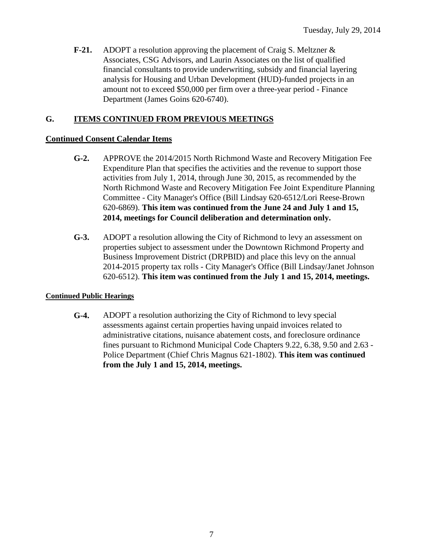**F-21.** ADOPT a resolution approving the placement of Craig S. Meltzner & Associates, CSG Advisors, and Laurin Associates on the list of qualified financial consultants to provide underwriting, subsidy and financial layering analysis for Housing and Urban Development (HUD)-funded projects in an amount not to exceed \$50,000 per firm over a three-year period - Finance Department (James Goins 620-6740).

#### **G. ITEMS CONTINUED FROM PREVIOUS MEETINGS**

#### **Continued Consent Calendar Items**

- **G-2.** APPROVE the 2014/2015 North Richmond Waste and Recovery Mitigation Fee Expenditure Plan that specifies the activities and the revenue to support those activities from July 1, 2014, through June 30, 2015, as recommended by the North Richmond Waste and Recovery Mitigation Fee Joint Expenditure Planning Committee - City Manager's Office (Bill Lindsay 620-6512/Lori Reese-Brown 620-6869). **This item was continued from the June 24 and July 1 and 15, 2014, meetings for Council deliberation and determination only.**
- **G-3.** ADOPT a resolution allowing the City of Richmond to levy an assessment on properties subject to assessment under the Downtown Richmond Property and Business Improvement District (DRPBID) and place this levy on the annual 2014-2015 property tax rolls - City Manager's Office (Bill Lindsay/Janet Johnson 620-6512). **This item was continued from the July 1 and 15, 2014, meetings.**

#### **Continued Public Hearings**

**G-4.** ADOPT a resolution authorizing the City of Richmond to levy special assessments against certain properties having unpaid invoices related to administrative citations, nuisance abatement costs, and foreclosure ordinance fines pursuant to Richmond Municipal Code Chapters 9.22, 6.38, 9.50 and 2.63 - Police Department (Chief Chris Magnus 621-1802). **This item was continued from the July 1 and 15, 2014, meetings.**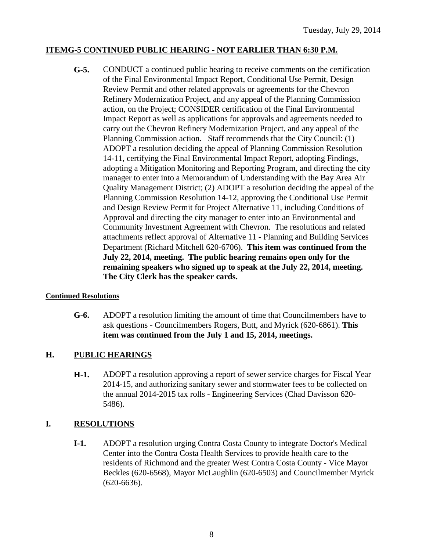#### **ITEMG-5 CONTINUED PUBLIC HEARING - NOT EARLIER THAN 6:30 P.M.**

**G-5.** CONDUCT a continued public hearing to receive comments on the certification of the Final Environmental Impact Report, Conditional Use Permit, Design Review Permit and other related approvals or agreements for the Chevron Refinery Modernization Project, and any appeal of the Planning Commission action, on the Project; CONSIDER certification of the Final Environmental Impact Report as well as applications for approvals and agreements needed to carry out the Chevron Refinery Modernization Project, and any appeal of the Planning Commission action. Staff recommends that the City Council: (1) ADOPT a resolution deciding the appeal of Planning Commission Resolution 14-11, certifying the Final Environmental Impact Report, adopting Findings, adopting a Mitigation Monitoring and Reporting Program, and directing the city manager to enter into a Memorandum of Understanding with the Bay Area Air Quality Management District; (2) ADOPT a resolution deciding the appeal of the Planning Commission Resolution 14-12, approving the Conditional Use Permit and Design Review Permit for Project Alternative 11, including Conditions of Approval and directing the city manager to enter into an Environmental and Community Investment Agreement with Chevron. The resolutions and related attachments reflect approval of Alternative 11 - Planning and Building Services Department (Richard Mitchell 620-6706). **This item was continued from the July 22, 2014, meeting. The public hearing remains open only for the remaining speakers who signed up to speak at the July 22, 2014, meeting. The City Clerk has the speaker cards.**

#### **Continued Resolutions**

**G-6.** ADOPT a resolution limiting the amount of time that Councilmembers have to ask questions - Councilmembers Rogers, Butt, and Myrick (620-6861). **This item was continued from the July 1 and 15, 2014, meetings.**

#### **H. PUBLIC HEARINGS**

**H-1.** ADOPT a resolution approving a report of sewer service charges for Fiscal Year 2014-15, and authorizing sanitary sewer and stormwater fees to be collected on the annual 2014-2015 tax rolls - Engineering Services (Chad Davisson 620- 5486).

#### **I. RESOLUTIONS**

**I-1.** ADOPT a resolution urging Contra Costa County to integrate Doctor's Medical Center into the Contra Costa Health Services to provide health care to the residents of Richmond and the greater West Contra Costa County - Vice Mayor Beckles (620-6568), Mayor McLaughlin (620-6503) and Councilmember Myrick (620-6636).